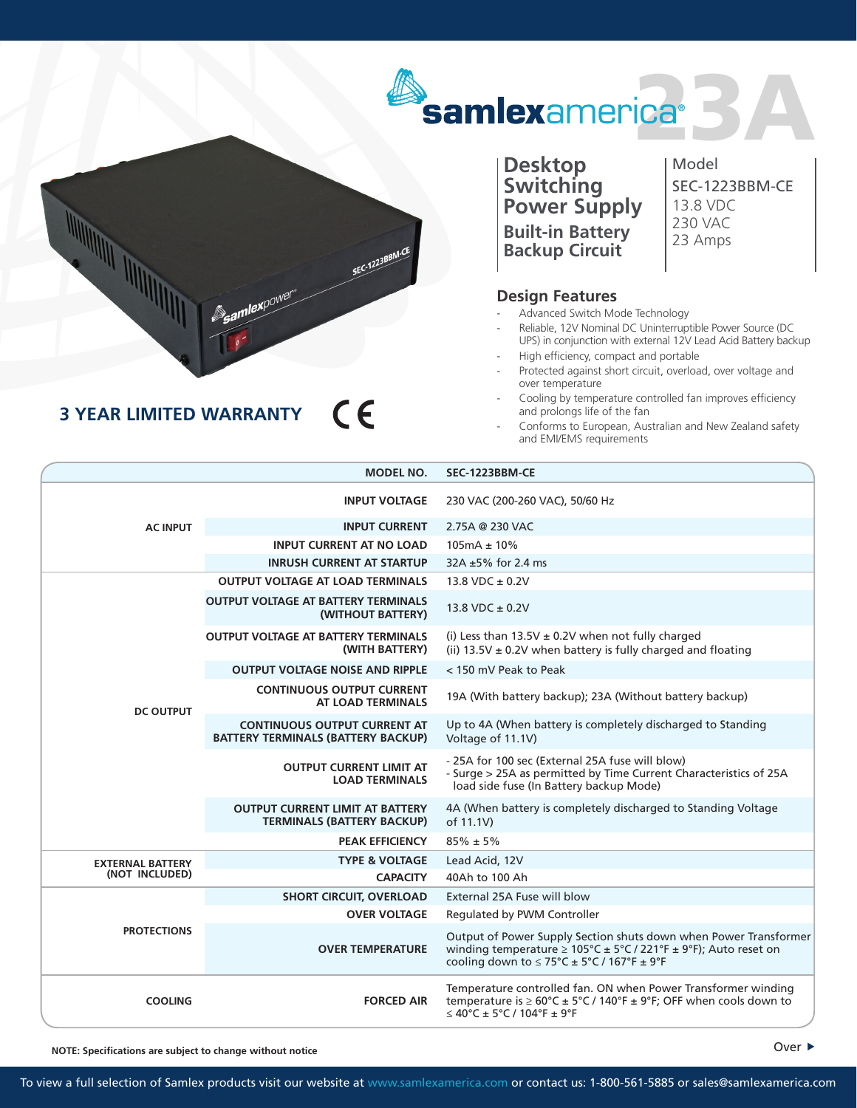## samlexamerica<sup>®</sup>

**Desktop Switching Power Supply Built-in Battery Backup Circuit**

Model SEC-1223BBM-CE 13.8 VDC 230 VAC 23 Amps

## **Design Features**

- Advanced Switch Mode Technology
- Reliable, 12V Nominal DC Uninterruptible Power Source (DC UPS) in conjunction with external 12V Lead Acid Battery backup
- High efficiency, compact and portable
- Protected against short circuit, overload, over voltage and over temperature
- Cooling by temperature controlled fan improves efficiency and prolongs life of the fan
- Conforms to European, Australian and New Zealand safety and EMI/EMS requirements

|                                           | <b>MODEL NO.</b>                                                                 | SEC-1223BBM-CE                                                                                                                                                                                              |
|-------------------------------------------|----------------------------------------------------------------------------------|-------------------------------------------------------------------------------------------------------------------------------------------------------------------------------------------------------------|
| <b>AC INPUT</b>                           | <b>INPUT VOLTAGE</b>                                                             | 230 VAC (200-260 VAC), 50/60 Hz                                                                                                                                                                             |
|                                           | <b>INPUT CURRENT</b>                                                             | 2.75A @ 230 VAC                                                                                                                                                                                             |
|                                           | <b>INPUT CURRENT AT NO LOAD</b>                                                  | $105mA \pm 10\%$                                                                                                                                                                                            |
|                                           | <b>INRUSH CURRENT AT STARTUP</b>                                                 | $32A \pm 5\%$ for 2.4 ms                                                                                                                                                                                    |
| <b>DC OUTPUT</b>                          | <b>OUTPUT VOLTAGE AT LOAD TERMINALS</b>                                          | 13.8 VDC $\pm$ 0.2V                                                                                                                                                                                         |
|                                           | <b>OUTPUT VOLTAGE AT BATTERY TERMINALS</b><br>(WITHOUT BATTERY)                  | 13.8 VDC ± 0.2V                                                                                                                                                                                             |
|                                           | <b>OUTPUT VOLTAGE AT BATTERY TERMINALS</b><br>(WITH BATTERY)                     | (i) Less than $13.5V \pm 0.2V$ when not fully charged<br>(ii) $13.5V \pm 0.2V$ when battery is fully charged and floating                                                                                   |
|                                           | <b>OUTPUT VOLTAGE NOISE AND RIPPLE</b>                                           | < 150 mV Peak to Peak                                                                                                                                                                                       |
|                                           | <b>CONTINUOUS OUTPUT CURRENT</b><br><b>AT LOAD TERMINALS</b>                     | 19A (With battery backup); 23A (Without battery backup)                                                                                                                                                     |
|                                           | <b>CONTINUOUS OUTPUT CURRENT AT</b><br><b>BATTERY TERMINALS (BATTERY BACKUP)</b> | Up to 4A (When battery is completely discharged to Standing<br>Voltage of 11.1V)                                                                                                                            |
|                                           | <b>OUTPUT CURRENT LIMIT AT</b><br><b>LOAD TERMINALS</b>                          | - 25A for 100 sec (External 25A fuse will blow)<br>- Surge > 25A as permitted by Time Current Characteristics of 25A<br>load side fuse (In Battery backup Mode)                                             |
|                                           | <b>OUTPUT CURRENT LIMIT AT BATTERY</b><br><b>TERMINALS (BATTERY BACKUP)</b>      | 4A (When battery is completely discharged to Standing Voltage<br>of 11.1V)                                                                                                                                  |
|                                           | <b>PEAK EFFICIENCY</b>                                                           | $85\% \pm 5\%$                                                                                                                                                                                              |
| <b>EXTERNAL BATTERY</b><br>(NOT INCLUDED) | <b>TYPE &amp; VOLTAGE</b>                                                        | Lead Acid, 12V                                                                                                                                                                                              |
|                                           | <b>CAPACITY</b>                                                                  | 40Ah to 100 Ah                                                                                                                                                                                              |
| <b>PROTECTIONS</b>                        | <b>SHORT CIRCUIT, OVERLOAD</b>                                                   | External 25A Fuse will blow                                                                                                                                                                                 |
|                                           | <b>OVER VOLTAGE</b>                                                              | Regulated by PWM Controller                                                                                                                                                                                 |
|                                           | <b>OVER TEMPERATURE</b>                                                          | Output of Power Supply Section shuts down when Power Transformer<br>winding temperature $\geq 105^{\circ}$ C ± 5°C / 221°F ± 9°F); Auto reset on<br>cooling down to $\leq$ 75°C $\pm$ 5°C / 167°F $\pm$ 9°F |
| <b>COOLING</b>                            | <b>FORCED AIR</b>                                                                | Temperature controlled fan. ON when Power Transformer winding<br>temperature is $\geq 60^{\circ}$ C ± 5°C / 140°F ± 9°F; OFF when cools down to<br>$\leq 40^{\circ}$ C ± 5°C / 104°F ± 9°F                  |

**NOTE: Specifications are subject to change without notice**



## $\epsilon$ **3 YEAR LIMITED WARRANTY**